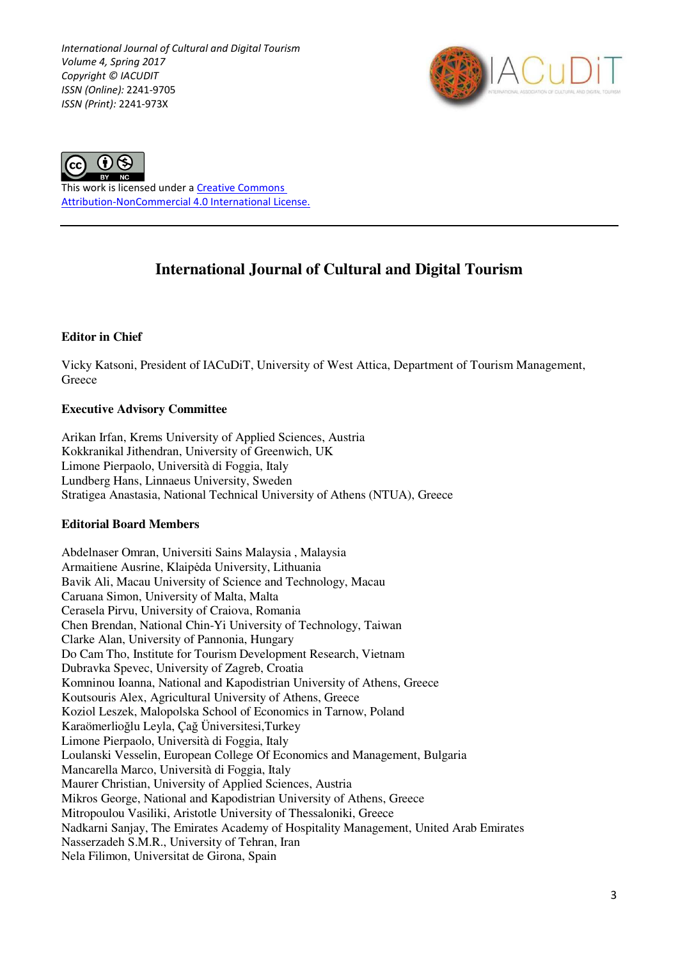*International Journal of Cultural and Digital Tourism Volume 4, Spring 2017 Copyright © IACUDIT ISSN (Online):* 2241-9705 *ISSN (Print):* 2241-973X





This work is licensed under a Creative Commons Attribution-NonCommercial 4.0 International License.

# **International Journal of Cultural and Digital Tourism**

## **Editor in Chief**

Vicky Katsoni, President of IACuDiT, University of West Attica, Department of Tourism Management, **Greece** 

## **Executive Advisory Committee**

Arikan Irfan, Krems University of Applied Sciences, Austria Kokkranikal Jithendran, University of Greenwich, UK Limone Pierpaolo, Università di Foggia, Italy Lundberg Hans, Linnaeus University, Sweden Stratigea Anastasia, National Technical University of Athens (NTUA), Greece

### **Editorial Board Members**

Abdelnaser Omran, Universiti Sains Malaysia , Malaysia Armaitiene Ausrine, Klaipėda University, Lithuania Bavik Ali, Macau University of Science and Technology, Macau Caruana Simon, University of Malta, Malta Cerasela Pirvu, University of Craiova, Romania Chen Brendan, National Chin-Yi University of Technology, Taiwan Clarke Alan, University of Pannonia, Hungary Do Cam Tho, Institute for Tourism Development Research, Vietnam Dubravka Spevec, University of Zagreb, Croatia Komninou Ioanna, National and Kapodistrian University of Athens, Greece Koutsouris Alex, Agricultural University of Athens, Greece Koziol Leszek, Malopolska School of Economics in Tarnow, Poland Karaömerlioğlu Leyla, Çağ Üniversitesi,Turkey Limone Pierpaolo, Università di Foggia, Italy Loulanski Vesselin, European College Of Economics and Management, Bulgaria Mancarella Marco, Università di Foggia, Italy Maurer Christian, University of Applied Sciences, Austria Mikros George, National and Kapodistrian University of Athens, Greece Mitropoulou Vasiliki, Aristotle University of Thessaloniki, Greece Nadkarni Sanjay, The Emirates Academy of Hospitality Management, United Arab Emirates Nasserzadeh S.M.R., University of Tehran, Iran Nela Filimon, Universitat de Girona, Spain